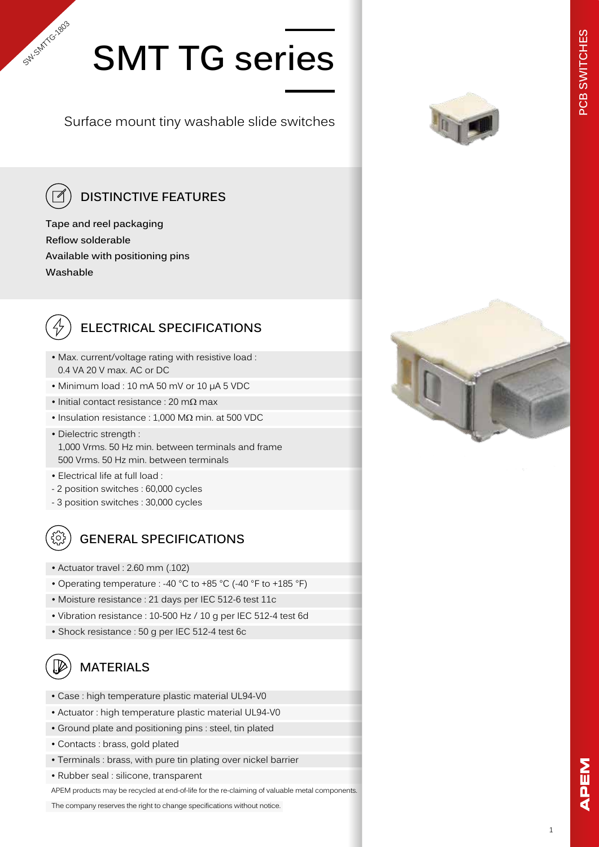# **SMT TG series**

Surface mount tiny washable slide switches

SW-SMT(G12003

### **DISTINCTIVE FEATURES**

**Tape and reel packaging Reflow solderable Available with positioning pins Washable**



### **ELECTRICAL SPECIFICATIONS**

- Max. current/voltage rating with resistive load : 0.4 VA 20 V max. AC or DC
- Minimum load : 10 mA 50 mV or 10 µA 5 VDC
- Initial contact resistance : 20 mΩ max
- Insulation resistance : 1,000 MΩ min. at 500 VDC
- Dielectric strength : 1,000 Vrms. 50 Hz min. between terminals and frame 500 Vrms. 50 Hz min. between terminals
- Electrical life at full load :
- 2 position switches : 60,000 cycles
- 3 position switches : 30,000 cycles



### **GENERAL SPECIFICATIONS**

- Actuator travel : 2.60 mm (.102)
- Operating temperature : -40 °C to +85 °C (-40 °F to +185 °F)
- Moisture resistance : 21 days per IEC 512-6 test 11c
- Vibration resistance : 10-500 Hz / 10 g per IEC 512-4 test 6d
- Shock resistance : 50 g per IEC 512-4 test 6c

#### ᠓ **MATERIALS**

- Case : high temperature plastic material UL94-V0
- Actuator : high temperature plastic material UL94-V0
- Ground plate and positioning pins : steel, tin plated
- Contacts : brass, gold plated
- Terminals : brass, with pure tin plating over nickel barrier
- Rubber seal : silicone, transparent

APEM products may be recycled at end-of-life for the re-claiming of valuable metal components.

The company reserves the right to change specifications without notice.



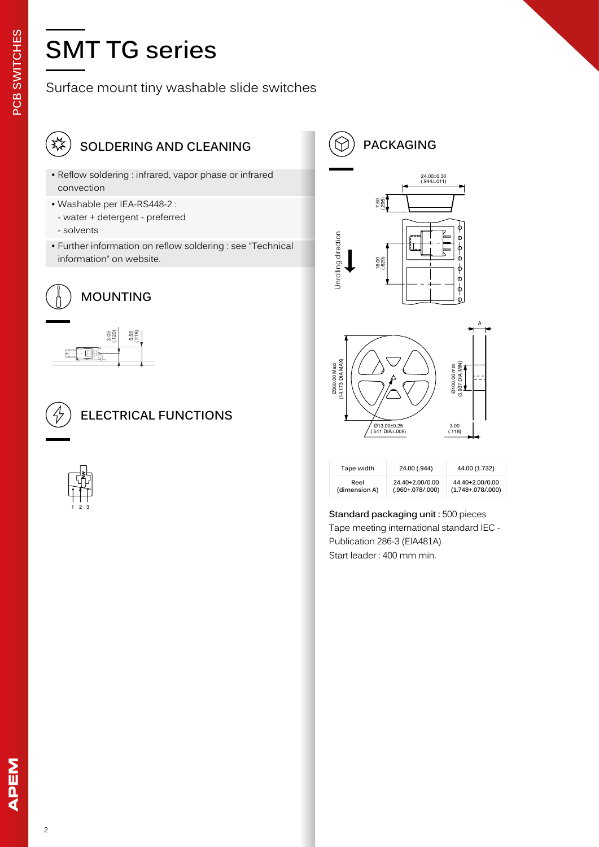### **SMT TG series**

### Surface mount tiny washable slide switches



### **SOLDERING AND CLEANING**

- Reflow soldering : infrared, vapor phase or infrared convection
- Washable per IEA-RS448-2 :
- water + detergent preferred
- solvents
- Further information on reflow soldering : see "Technical information" on website.



| .F<br>$3.05$<br>$120$<br>π. | ؊<br>¤ŏ,≃ |  |
|-----------------------------|-----------|--|
|                             |           |  |



### **ELECTRICAL FUNCTIONS**





| Tape width    | 24.00 (.944)       | 44.00 (1.732)           |
|---------------|--------------------|-------------------------|
| Reel          | 24.40+2.00/0.00    | 44.40+2.00/0.00         |
| (dimension A) | $(.960+.078/.000)$ | $(1.748 + 0.078/0.000)$ |

**Standard packaging unit :** 500 pieces Tape meeting international standard IEC - Publication 286-3 (EIA481A) Start leader : 400 mm min.

**PCB SWITCHES**

PCB SWITCHES